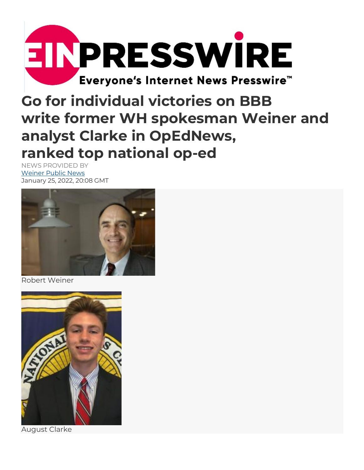

## Go for individual victories on BBB write former WH spokesman Weiner and analyst Clarke in OpEdNews, ranked top national op-ed

NEWS PROVIDED BY Weiner Public News January 25, 2022, 20:08 GMT



Robert Weiner



August Clarke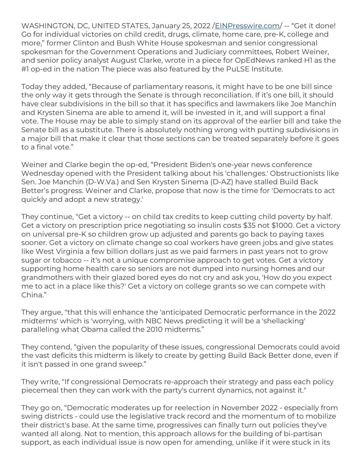WASHINGTON, DC, UNITED STATES, January 25, 2022 / EINPresswire.com/ -- "Get it done! Go for individual victories on child credit, drugs, climate, home care, pre-K, college and more," former Clinton and Bush White House spokesman and senior congressional spokesman for the Government Operations and Judiciary committees, Robert Weiner, and senior policy analyst August Clarke, wrote in a piece for OpEdNews ranked H1 as the #1 op-ed in the nation The piece was also featured by the PuLSE Institute.

Today they added, "Because of parliamentary reasons, it might have to be one bill since the only way it gets through the Senate is through reconciliation. If it's one bill, it should have clear subdivisions in the bill so that it has specifics and lawmakers like Joe Manchin and Krysten Sinema are able to amend it, will be invested in it, and will support a final vote. The House may be able to simply stand on its approval of the earlier bill and take the Senate bill as a substitute. There is absolutely nothing wrong with putting subdivisions in a major bill that make it clear that those sections can be treated separately before it goes to a final vote."

Weiner and Clarke begin the op-ed, "President Biden's one-year news conference Wednesday opened with the President talking about his 'challenges.' Obstructionists like Sen. Joe Manchin (D-W.Va.) and Sen Krysten Sinema (D-AZ) have stalled Build Back Better's progress. Weiner and Clarke, propose that now is the time for 'Democrats to act quickly and adopt a new strategy.'

They continue, "Get a victory -- on child tax credits to keep cutting child poverty by half. Get a victory on prescription price negotiating so insulin costs \$35 not \$1000. Get a victory on universal pre-K so children grow up adjusted and parents go back to paying taxes sooner. Get a victory on climate change so coal workers have green jobs and give states like West Virginia a few billion dollars just as we paid farmers in past years not to grow sugar or tobacco -- it's not a unique compromise approach to get votes. Get a victory supporting home health care so seniors are not dumped into nursing homes and our grandmothers with their glazed bored eyes do not cry and ask you, 'How do you expect me to act in a place like this?' Get a victory on college grants so we can compete with China."

They argue, "that this will enhance the 'anticipated Democratic performance in the 2022 midterms' which is 'worrying, with NBC News predicting it will be a 'shellacking' paralleling what Obama called the 2010 midterms."

They contend, "given the popularity of these issues, congressional Democrats could avoid the vast deficits this midterm is likely to create by getting Build Back Better done, even if it isn't passed in one grand sweep."

They write, "If congressional Democrats re-approach their strategy and pass each policy piecemeal then they can work with the party's current dynamics, not against it."

They go on, "Democratic moderates up for reelection in November 2022 - especially from swing districts - could use the legislative track record and the momentum of to mobilize their district's base. At the same time, progressives can finally turn out policies they've wanted all along. Not to mention, this approach allows for the building of bi-partisan support, as each individual issue is now open for amending, unlike if it were stuck in its